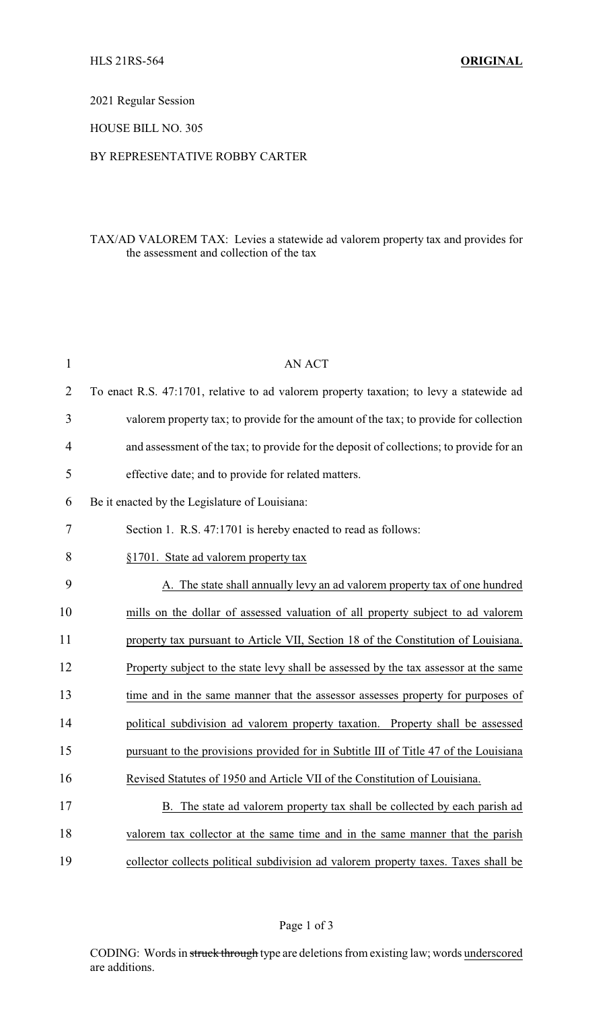2021 Regular Session

## HOUSE BILL NO. 305

## BY REPRESENTATIVE ROBBY CARTER

## TAX/AD VALOREM TAX: Levies a statewide ad valorem property tax and provides for the assessment and collection of the tax

| $\mathbf{1}$   | <b>AN ACT</b>                                                                           |
|----------------|-----------------------------------------------------------------------------------------|
| $\overline{2}$ | To enact R.S. 47:1701, relative to ad valorem property taxation; to levy a statewide ad |
| 3              | valorem property tax; to provide for the amount of the tax; to provide for collection   |
| 4              | and assessment of the tax; to provide for the deposit of collections; to provide for an |
| 5              | effective date; and to provide for related matters.                                     |
| 6              | Be it enacted by the Legislature of Louisiana:                                          |
| 7              | Section 1. R.S. 47:1701 is hereby enacted to read as follows:                           |
| 8              | §1701. State ad valorem property tax                                                    |
| 9              | A. The state shall annually levy an ad valorem property tax of one hundred              |
| 10             | mills on the dollar of assessed valuation of all property subject to ad valorem         |
| 11             | property tax pursuant to Article VII, Section 18 of the Constitution of Louisiana.      |
| 12             | Property subject to the state levy shall be assessed by the tax assessor at the same    |
| 13             | time and in the same manner that the assessor assesses property for purposes of         |
| 14             | political subdivision ad valorem property taxation. Property shall be assessed          |
| 15             | pursuant to the provisions provided for in Subtitle III of Title 47 of the Louisiana    |
| 16             | Revised Statutes of 1950 and Article VII of the Constitution of Louisiana.              |
| 17             | B. The state ad valorem property tax shall be collected by each parish ad               |
| 18             | valorem tax collector at the same time and in the same manner that the parish           |
| 19             | collector collects political subdivision ad valorem property taxes. Taxes shall be      |

CODING: Words in struck through type are deletions from existing law; words underscored are additions.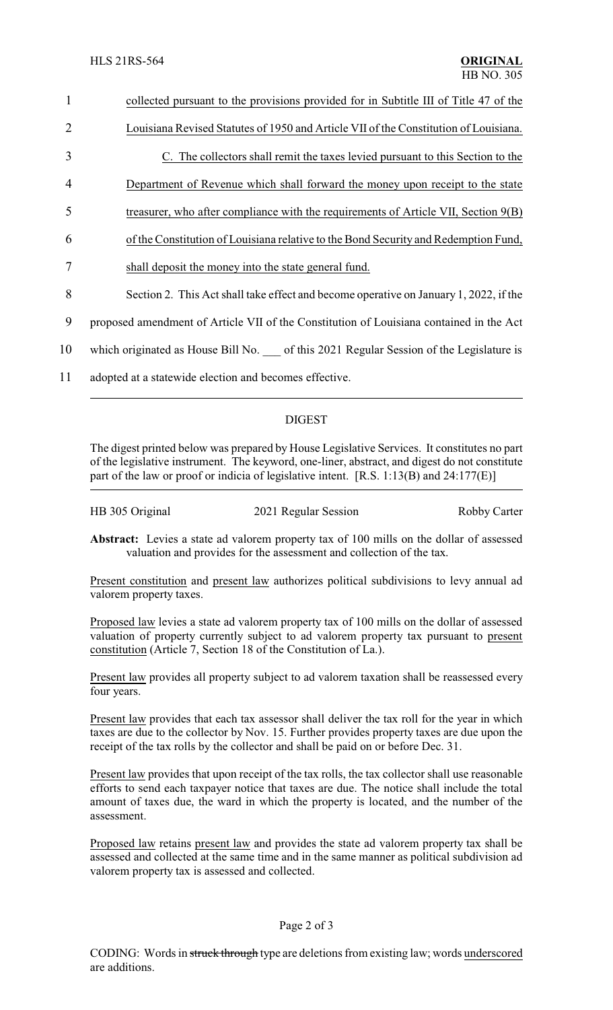| 1              | collected pursuant to the provisions provided for in Subtitle III of Title 47 of the    |
|----------------|-----------------------------------------------------------------------------------------|
| $\overline{2}$ | Louisiana Revised Statutes of 1950 and Article VII of the Constitution of Louisiana.    |
| 3              | C. The collectors shall remit the taxes levied pursuant to this Section to the          |
| 4              | Department of Revenue which shall forward the money upon receipt to the state           |
| 5              | treasurer, who after compliance with the requirements of Article VII, Section 9(B)      |
| 6              | of the Constitution of Louisiana relative to the Bond Security and Redemption Fund,     |
| 7              | shall deposit the money into the state general fund.                                    |
| 8              | Section 2. This Act shall take effect and become operative on January 1, 2022, if the   |
| 9              | proposed amendment of Article VII of the Constitution of Louisiana contained in the Act |
| 10             | which originated as House Bill No. of this 2021 Regular Session of the Legislature is   |
| 11             | adopted at a statewide election and becomes effective.                                  |
|                |                                                                                         |

## DIGEST

The digest printed below was prepared by House Legislative Services. It constitutes no part of the legislative instrument. The keyword, one-liner, abstract, and digest do not constitute part of the law or proof or indicia of legislative intent. [R.S. 1:13(B) and 24:177(E)]

| HB 305 Original | 2021 Regular Session | <b>Robby Carter</b> |
|-----------------|----------------------|---------------------|
|                 |                      |                     |

**Abstract:** Levies a state ad valorem property tax of 100 mills on the dollar of assessed valuation and provides for the assessment and collection of the tax.

Present constitution and present law authorizes political subdivisions to levy annual ad valorem property taxes.

Proposed law levies a state ad valorem property tax of 100 mills on the dollar of assessed valuation of property currently subject to ad valorem property tax pursuant to present constitution (Article 7, Section 18 of the Constitution of La.).

Present law provides all property subject to ad valorem taxation shall be reassessed every four years.

Present law provides that each tax assessor shall deliver the tax roll for the year in which taxes are due to the collector by Nov. 15. Further provides property taxes are due upon the receipt of the tax rolls by the collector and shall be paid on or before Dec. 31.

Present law provides that upon receipt of the tax rolls, the tax collector shall use reasonable efforts to send each taxpayer notice that taxes are due. The notice shall include the total amount of taxes due, the ward in which the property is located, and the number of the assessment.

Proposed law retains present law and provides the state ad valorem property tax shall be assessed and collected at the same time and in the same manner as political subdivision ad valorem property tax is assessed and collected.